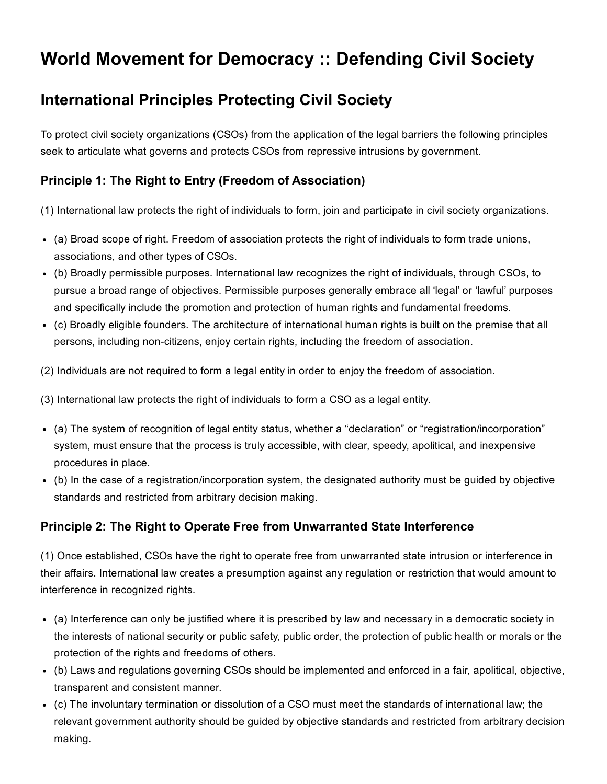# World Movement for Democracy :: Defending Civil Society

# International Principles Protecting Civil Society

To protect civil society organizations (CSOs) from the application of the legal barriers the following principles seek to articulate what governs and protects CSOs from repressive intrusions by government.

### Principle 1: The Right to Entry (Freedom of Association)

(1) International law protects the right of individuals to form, join and participate in civil society organizations.

- (a) Broad scope of right. Freedom of association protects the right of individuals to form trade unions, associations, and other types of CSOs.
- (b) Broadly permissible purposes. International law recognizes the right of individuals, through CSOs, to pursue a broad range of objectives. Permissible purposes generally embrace all 'legal' or 'lawful' purposes and specifically include the promotion and protection of human rights and fundamental freedoms.
- (c) Broadly eligible founders. The architecture of international human rights is built on the premise that all persons, including non-citizens, enjoy certain rights, including the freedom of association.
- (2) Individuals are not required to form a legal entity in order to enjoy the freedom of association.

(3) International law protects the right of individuals to form a CSO as a legal entity.

- (a) The system of recognition of legal entity status, whether a "declaration" or "registration/incorporation" system, must ensure that the process is truly accessible, with clear, speedy, apolitical, and inexpensive procedures in place.
- (b) In the case of a registration/incorporation system, the designated authority must be guided by objective standards and restricted from arbitrary decision making.

# Principle 2: The Right to Operate Free from Unwarranted State Interference

(1) Once established, CSOs have the right to operate free from unwarranted state intrusion or interference in their affairs. International law creates a presumption against any regulation or restriction that would amount to interference in recognized rights.

- (a) Interference can only be justified where it is prescribed by law and necessary in a democratic society in the interests of national security or public safety, public order, the protection of public health or morals or the protection of the rights and freedoms of others.
- (b) Laws and regulations governing CSOs should be implemented and enforced in a fair, apolitical, objective, transparent and consistent manner.
- (c) The involuntary termination or dissolution of a CSO must meet the standards of international law; the relevant government authority should be guided by objective standards and restricted from arbitrary decision making.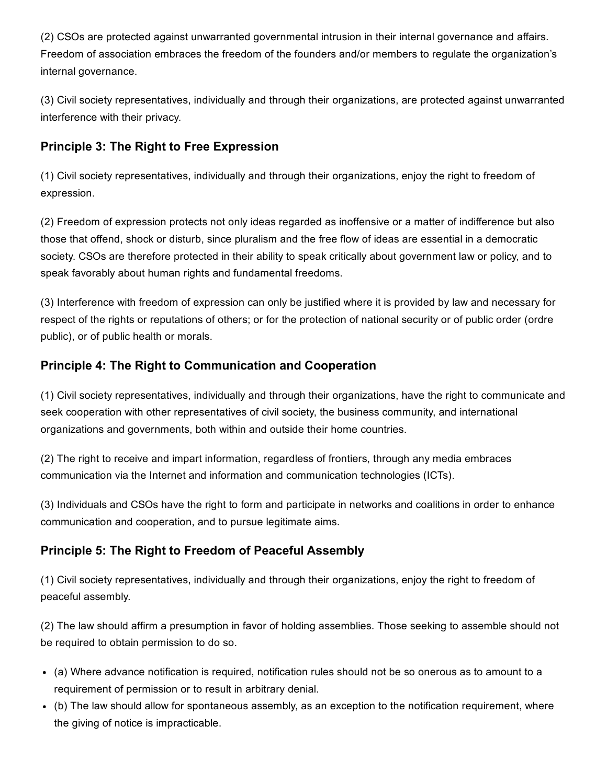(2) CSOs are protected against unwarranted governmental intrusion in their internal governance and affairs. Freedom of association embraces the freedom of the founders and/or members to regulate the organization's internal governance.

(3) Civil society representatives, individually and through their organizations, are protected against unwarranted interference with their privacy.

#### Principle 3: The Right to Free Expression

(1) Civil society representatives, individually and through their organizations, enjoy the right to freedom of expression.

(2) Freedom of expression protects not only ideas regarded as inoffensive or a matter of indifference but also those that offend, shock or disturb, since pluralism and the free flow of ideas are essential in a democratic society. CSOs are therefore protected in their ability to speak critically about government law or policy, and to speak favorably about human rights and fundamental freedoms.

(3) Interference with freedom of expression can only be justified where it is provided by law and necessary for respect of the rights or reputations of others; or for the protection of national security or of public order (ordre public), or of public health or morals.

#### Principle 4: The Right to Communication and Cooperation

(1) Civil society representatives, individually and through their organizations, have the right to communicate and seek cooperation with other representatives of civil society, the business community, and international organizations and governments, both within and outside their home countries.

(2) The right to receive and impart information, regardless of frontiers, through any media embraces communication via the Internet and information and communication technologies (ICTs).

(3) Individuals and CSOs have the right to form and participate in networks and coalitions in order to enhance communication and cooperation, and to pursue legitimate aims.

# Principle 5: The Right to Freedom of Peaceful Assembly

(1) Civil society representatives, individually and through their organizations, enjoy the right to freedom of peaceful assembly.

(2) The law should affirm a presumption in favor of holding assemblies. Those seeking to assemble should not be required to obtain permission to do so.

- (a) Where advance notification is required, notification rules should not be so onerous as to amount to a requirement of permission or to result in arbitrary denial.
- (b) The law should allow for spontaneous assembly, as an exception to the notification requirement, where the giving of notice is impracticable.